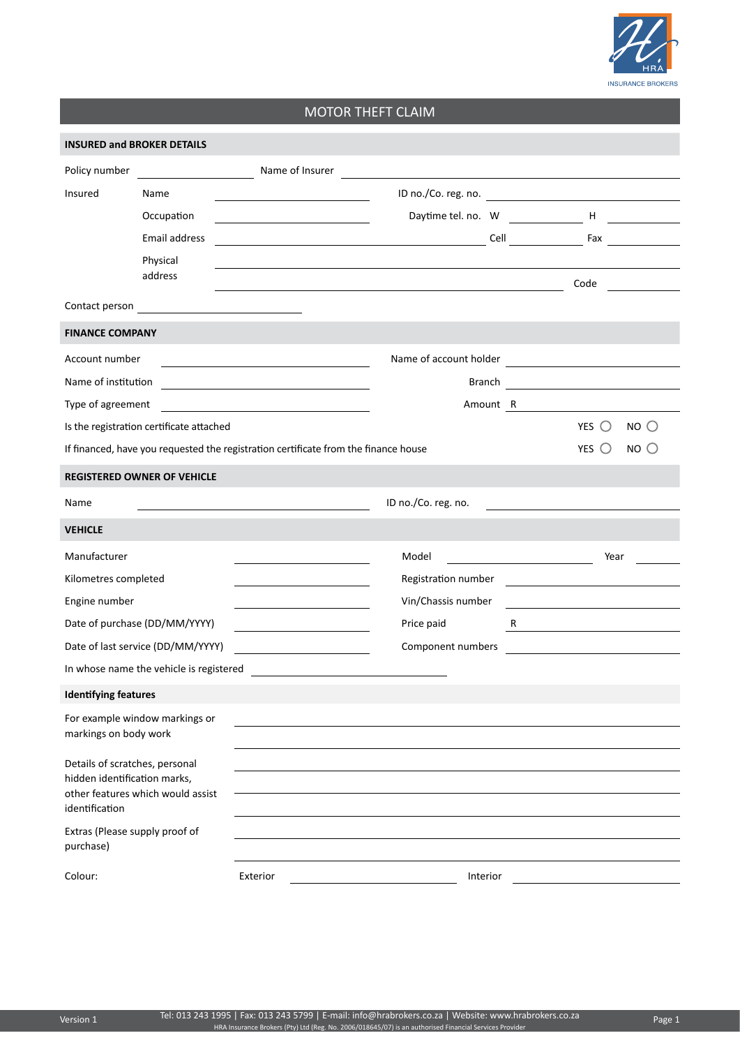

## MOTOR THEFT CLAIM

| <b>INSURED and BROKER DETAILS</b>                                                                                     |                                          |                                                                                                                       |                     |  |                                                                                                                        |  |  |  |
|-----------------------------------------------------------------------------------------------------------------------|------------------------------------------|-----------------------------------------------------------------------------------------------------------------------|---------------------|--|------------------------------------------------------------------------------------------------------------------------|--|--|--|
| Policy number                                                                                                         |                                          | Name of Insurer and The Communication of the Communication of the Communication of the Communication of the Co        |                     |  |                                                                                                                        |  |  |  |
| Insured                                                                                                               | Name                                     |                                                                                                                       |                     |  |                                                                                                                        |  |  |  |
|                                                                                                                       | Occupation                               |                                                                                                                       |                     |  | Daytime tel. no. W H                                                                                                   |  |  |  |
|                                                                                                                       | Email address                            |                                                                                                                       |                     |  |                                                                                                                        |  |  |  |
|                                                                                                                       | Physical<br>address                      |                                                                                                                       |                     |  | Code                                                                                                                   |  |  |  |
|                                                                                                                       |                                          | <u> 1980 - Johann Stoff, deutscher Stoff, der Stoff, der Stoff, der Stoff, der Stoff, der Stoff, der Stoff, der S</u> |                     |  |                                                                                                                        |  |  |  |
| <b>FINANCE COMPANY</b>                                                                                                |                                          |                                                                                                                       |                     |  |                                                                                                                        |  |  |  |
| Account number                                                                                                        |                                          |                                                                                                                       |                     |  |                                                                                                                        |  |  |  |
| Name of institution                                                                                                   |                                          |                                                                                                                       |                     |  |                                                                                                                        |  |  |  |
| Type of agreement                                                                                                     |                                          | <u> 1980 - Jan Barbara Barbara, maska kardinal (</u>                                                                  |                     |  | Amount R                                                                                                               |  |  |  |
|                                                                                                                       | Is the registration certificate attached |                                                                                                                       |                     |  | YES $\bigcirc$<br>NO <sub>O</sub>                                                                                      |  |  |  |
|                                                                                                                       |                                          | If financed, have you requested the registration certificate from the finance house                                   |                     |  | YES $\bigcirc$<br>NO <sub>C</sub>                                                                                      |  |  |  |
| <b>REGISTERED OWNER OF VEHICLE</b>                                                                                    |                                          |                                                                                                                       |                     |  |                                                                                                                        |  |  |  |
| Name                                                                                                                  |                                          |                                                                                                                       | ID no./Co. reg. no. |  |                                                                                                                        |  |  |  |
| <b>VEHICLE</b>                                                                                                        |                                          |                                                                                                                       |                     |  |                                                                                                                        |  |  |  |
| Manufacturer                                                                                                          |                                          | the control of the control of the control of the control of the control of                                            | Model               |  | Year                                                                                                                   |  |  |  |
| Kilometres completed                                                                                                  |                                          |                                                                                                                       | Registration number |  | <u> 2000 - Jan James James Jan James James James James James James James James James James James James James James</u> |  |  |  |
| Engine number                                                                                                         |                                          | <u> 1980 - Jan James James Jan James James Jan James James Jan James James Jan James James Jan Jan James James Ja</u> | Vin/Chassis number  |  |                                                                                                                        |  |  |  |
| Date of purchase (DD/MM/YYYY)                                                                                         |                                          | <u> 1980 - Jan Barnett, mars et al. (b. 1980)</u>                                                                     | Price paid          |  |                                                                                                                        |  |  |  |
| Date of last service (DD/MM/YYYY)                                                                                     |                                          |                                                                                                                       | Component numbers   |  |                                                                                                                        |  |  |  |
| In whose name the vehicle is registered<br><u> 1980 - Andrea Andrew Maria (h. 1980).</u>                              |                                          |                                                                                                                       |                     |  |                                                                                                                        |  |  |  |
| <b>Identifying features</b>                                                                                           |                                          |                                                                                                                       |                     |  |                                                                                                                        |  |  |  |
| markings on body work                                                                                                 | For example window markings or           |                                                                                                                       |                     |  |                                                                                                                        |  |  |  |
| Details of scratches, personal<br>hidden identification marks,<br>other features which would assist<br>identification |                                          |                                                                                                                       |                     |  |                                                                                                                        |  |  |  |
| Extras (Please supply proof of<br>purchase)                                                                           |                                          |                                                                                                                       |                     |  |                                                                                                                        |  |  |  |
| Colour:                                                                                                               |                                          | Exterior                                                                                                              | Interior            |  |                                                                                                                        |  |  |  |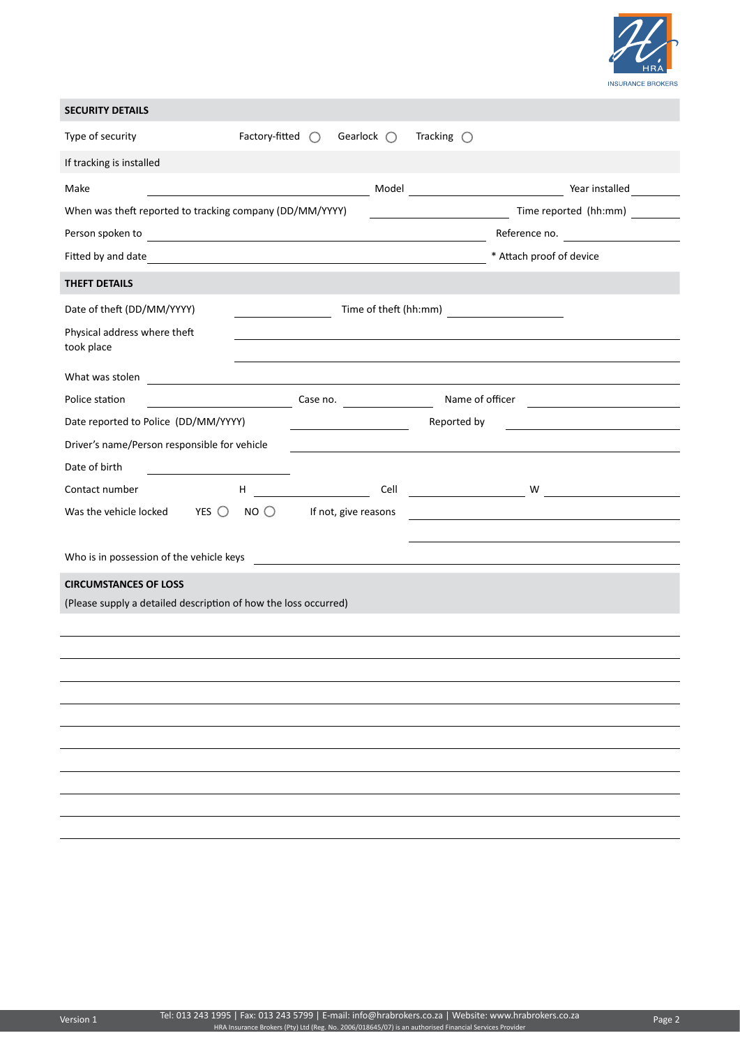

| <b>SECURITY DETAILS</b>                                                                                                                                                                                                              |                           |                                                                                              |             |                                                                                                                       |                                                                          |  |  |  |  |
|--------------------------------------------------------------------------------------------------------------------------------------------------------------------------------------------------------------------------------------|---------------------------|----------------------------------------------------------------------------------------------|-------------|-----------------------------------------------------------------------------------------------------------------------|--------------------------------------------------------------------------|--|--|--|--|
| Type of security                                                                                                                                                                                                                     | Factory-fitted $\bigcirc$ | Gearlock $\bigcirc$                                                                          |             | Tracking $\bigcirc$                                                                                                   |                                                                          |  |  |  |  |
| If tracking is installed                                                                                                                                                                                                             |                           |                                                                                              |             |                                                                                                                       |                                                                          |  |  |  |  |
| Make                                                                                                                                                                                                                                 |                           |                                                                                              |             |                                                                                                                       | Year installed                                                           |  |  |  |  |
| Time reported (hh:mm)<br>When was theft reported to tracking company (DD/MM/YYYY)                                                                                                                                                    |                           |                                                                                              |             |                                                                                                                       |                                                                          |  |  |  |  |
|                                                                                                                                                                                                                                      | Reference no.             |                                                                                              |             |                                                                                                                       |                                                                          |  |  |  |  |
|                                                                                                                                                                                                                                      |                           |                                                                                              |             |                                                                                                                       | * Attach proof of device                                                 |  |  |  |  |
| THEFT DETAILS                                                                                                                                                                                                                        |                           |                                                                                              |             |                                                                                                                       |                                                                          |  |  |  |  |
| Date of theft (DD/MM/YYYY)                                                                                                                                                                                                           |                           |                                                                                              |             |                                                                                                                       |                                                                          |  |  |  |  |
| Physical address where theft<br>took place                                                                                                                                                                                           |                           |                                                                                              |             | <u> 1989 - An t-Alban ann an t-Alban ann an t-Alban ann an t-Alban ann an t-Alban ann an t-Alban ann an t-Alban a</u> |                                                                          |  |  |  |  |
| What was stolen <b>with a contract of the contract of the contract of the contract of the contract of the contract of the contract of the contract of the contract of the contract of the contract of the contract of the contra</b> |                           |                                                                                              |             |                                                                                                                       |                                                                          |  |  |  |  |
| Police station                                                                                                                                                                                                                       |                           | <b>Example 2008</b> Case no. <b>Case no.</b> Name of officer <b>Case 10.</b> Name of officer |             |                                                                                                                       |                                                                          |  |  |  |  |
| Date reported to Police (DD/MM/YYYY)                                                                                                                                                                                                 |                           |                                                                                              | Reported by |                                                                                                                       |                                                                          |  |  |  |  |
| Driver's name/Person responsible for vehicle                                                                                                                                                                                         |                           |                                                                                              |             |                                                                                                                       |                                                                          |  |  |  |  |
| Date of birth                                                                                                                                                                                                                        |                           |                                                                                              |             |                                                                                                                       |                                                                          |  |  |  |  |
| Contact number                                                                                                                                                                                                                       | H,                        |                                                                                              |             |                                                                                                                       |                                                                          |  |  |  |  |
| Was the vehicle locked<br>YES $\bigcirc$                                                                                                                                                                                             | NO                        | If not, give reasons                                                                         |             |                                                                                                                       | <u> 1980 - Johann John Stone, markin fizik eta idazlearia (h. 1980).</u> |  |  |  |  |
|                                                                                                                                                                                                                                      |                           |                                                                                              |             |                                                                                                                       |                                                                          |  |  |  |  |
| Who is in possession of the vehicle keys                                                                                                                                                                                             |                           |                                                                                              |             |                                                                                                                       | <u> 1980 - Andrea Andrew Maria (h. 1980).</u>                            |  |  |  |  |
| <b>CIRCUMSTANCES OF LOSS</b>                                                                                                                                                                                                         |                           |                                                                                              |             |                                                                                                                       |                                                                          |  |  |  |  |
| (Please supply a detailed description of how the loss occurred)                                                                                                                                                                      |                           |                                                                                              |             |                                                                                                                       |                                                                          |  |  |  |  |
|                                                                                                                                                                                                                                      |                           |                                                                                              |             |                                                                                                                       |                                                                          |  |  |  |  |
|                                                                                                                                                                                                                                      |                           |                                                                                              |             |                                                                                                                       |                                                                          |  |  |  |  |
|                                                                                                                                                                                                                                      |                           |                                                                                              |             |                                                                                                                       |                                                                          |  |  |  |  |
|                                                                                                                                                                                                                                      |                           |                                                                                              |             |                                                                                                                       |                                                                          |  |  |  |  |
|                                                                                                                                                                                                                                      |                           |                                                                                              |             |                                                                                                                       |                                                                          |  |  |  |  |
|                                                                                                                                                                                                                                      |                           |                                                                                              |             |                                                                                                                       |                                                                          |  |  |  |  |
|                                                                                                                                                                                                                                      |                           |                                                                                              |             |                                                                                                                       |                                                                          |  |  |  |  |
|                                                                                                                                                                                                                                      |                           |                                                                                              |             |                                                                                                                       |                                                                          |  |  |  |  |
|                                                                                                                                                                                                                                      |                           |                                                                                              |             |                                                                                                                       |                                                                          |  |  |  |  |